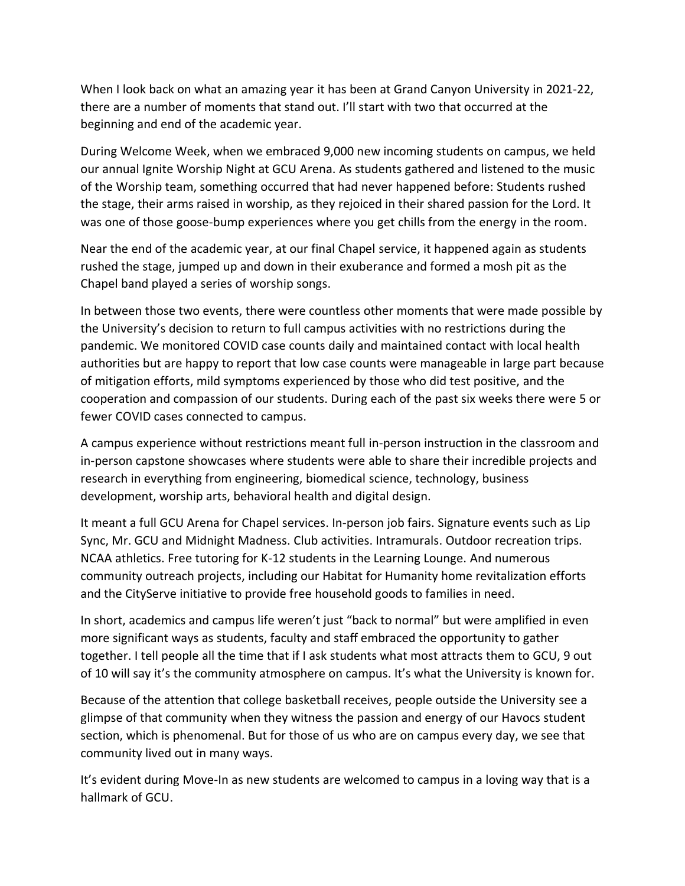When I look back on what an amazing year it has been at Grand Canyon University in 2021-22, there are a number of moments that stand out. I'll start with two that occurred at the beginning and end of the academic year.

During Welcome Week, when we embraced 9,000 new incoming students on campus, we held our annual Ignite Worship Night at GCU Arena. As students gathered and listened to the music of the Worship team, something occurred that had never happened before: Students rushed the stage, their arms raised in worship, as they rejoiced in their shared passion for the Lord. It was one of those goose-bump experiences where you get chills from the energy in the room.

Near the end of the academic year, at our final Chapel service, it happened again as students rushed the stage, jumped up and down in their exuberance and formed a mosh pit as the Chapel band played a series of worship songs.

In between those two events, there were countless other moments that were made possible by the University's decision to return to full campus activities with no restrictions during the pandemic. We monitored COVID case counts daily and maintained contact with local health authorities but are happy to report that low case counts were manageable in large part because of mitigation efforts, mild symptoms experienced by those who did test positive, and the cooperation and compassion of our students. During each of the past six weeks there were 5 or fewer COVID cases connected to campus.

A campus experience without restrictions meant full in-person instruction in the classroom and in-person capstone showcases where students were able to share their incredible projects and research in everything from engineering, biomedical science, technology, business development, worship arts, behavioral health and digital design.

It meant a full GCU Arena for Chapel services. In-person job fairs. Signature events such as Lip Sync, Mr. GCU and Midnight Madness. Club activities. Intramurals. Outdoor recreation trips. NCAA athletics. Free tutoring for K-12 students in the Learning Lounge. And numerous community outreach projects, including our Habitat for Humanity home revitalization efforts and the CityServe initiative to provide free household goods to families in need.

In short, academics and campus life weren't just "back to normal" but were amplified in even more significant ways as students, faculty and staff embraced the opportunity to gather together. I tell people all the time that if I ask students what most attracts them to GCU, 9 out of 10 will say it's the community atmosphere on campus. It's what the University is known for.

Because of the attention that college basketball receives, people outside the University see a glimpse of that community when they witness the passion and energy of our Havocs student section, which is phenomenal. But for those of us who are on campus every day, we see that community lived out in many ways.

It's evident during Move-In as new students are welcomed to campus in a loving way that is a hallmark of GCU.